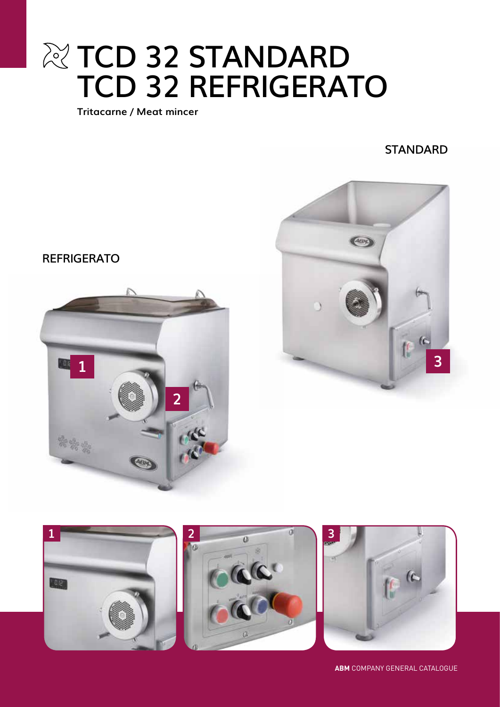# **READ 32 STANDARD TCD 32 REFRIGERATO**

**Tritacarne / Meat mincer**

**STANDARD**



# **REFRIGERATO**





**ABM** COMPANY GENERAL CATALOGUE